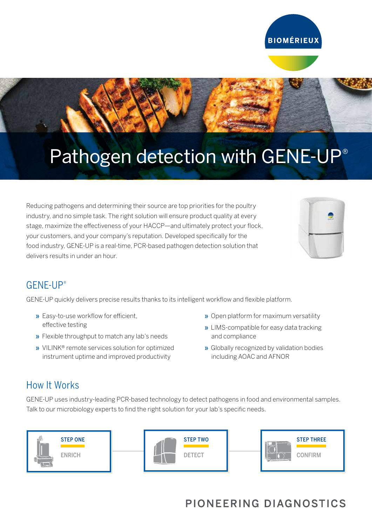

# Pathogen detection with GENE-UP®

Reducing pathogens and determining their source are top priorities for the poultry industry, and no simple task. The right solution will ensure product quality at every stage, maximize the effectiveness of your HACCP—and ultimately protect your flock, your customers, and your company's reputation. Developed specifically for the food industry, GENE-UP is a real-time, PCR-based pathogen detection solution that delivers results in under an hour.



### GENE-UP®

GENE-UP quickly delivers precise results thanks to its intelligent workflow and flexible platform.

- » Easy-to-use workflow for efficient, effective testing
- » Flexible throughput to match any lab's needs
- » VILINK® remote services solution for optimized instrument uptime and improved productivity
- » Open platform for maximum versatility
- » LIMS-compatible for easy data tracking and compliance
- » Globally recognized by validation bodies including AOAC and AFNOR

#### How It Works

GENE-UP uses industry-leading PCR-based technology to detect pathogens in food and environmental samples. Talk to our microbiology experts to find the right solution for your lab's specific needs.



# PIONEERING DIAGNOSTICS